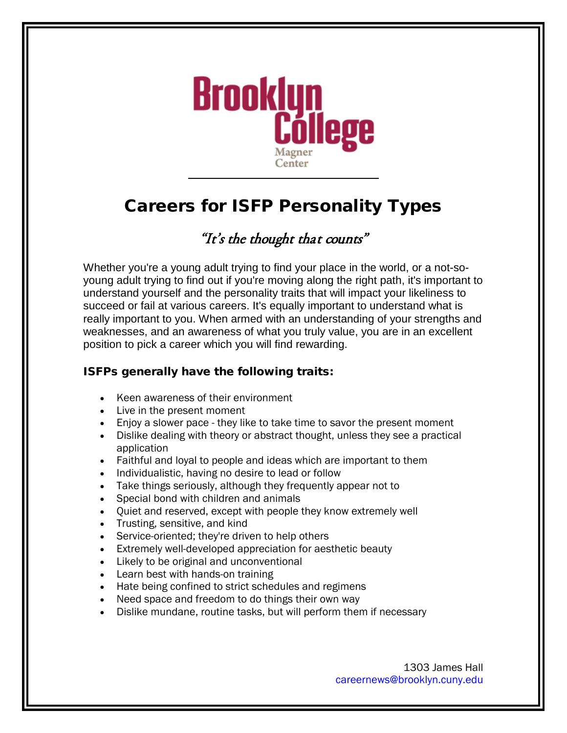

# Careers for ISFP Personality Types

## "It's the thought that counts"

Whether you're a young adult trying to find your place in the world, or a not-soyoung adult trying to find out if you're moving along the right path, it's important to understand yourself and the personality traits that will impact your likeliness to succeed or fail at various careers. It's equally important to understand what is really important to you. When armed with an understanding of your strengths and weaknesses, and an awareness of what you truly value, you are in an excellent position to pick a career which you will find rewarding.

### ISFPs generally have the following traits:

- Keen awareness of their environment
- Live in the present moment
- Enjoy a slower pace they like to take time to savor the present moment
- Dislike dealing with theory or abstract thought, unless they see a practical application
- Faithful and loyal to people and ideas which are important to them
- Individualistic, having no desire to lead or follow
- Take things seriously, although they frequently appear not to
- Special bond with children and animals
- Quiet and reserved, except with people they know extremely well
- Trusting, sensitive, and kind
- Service-oriented; they're driven to help others
- Extremely well-developed appreciation for aesthetic beauty
- Likely to be original and unconventional
- Learn best with hands-on training
- Hate being confined to strict schedules and regimens
- Need space and freedom to do things their own way
- Dislike mundane, routine tasks, but will perform them if necessary

1303 James Hall [careernews@brooklyn.cuny.edu](mailto:careernews@brooklyn.cuny.edu)